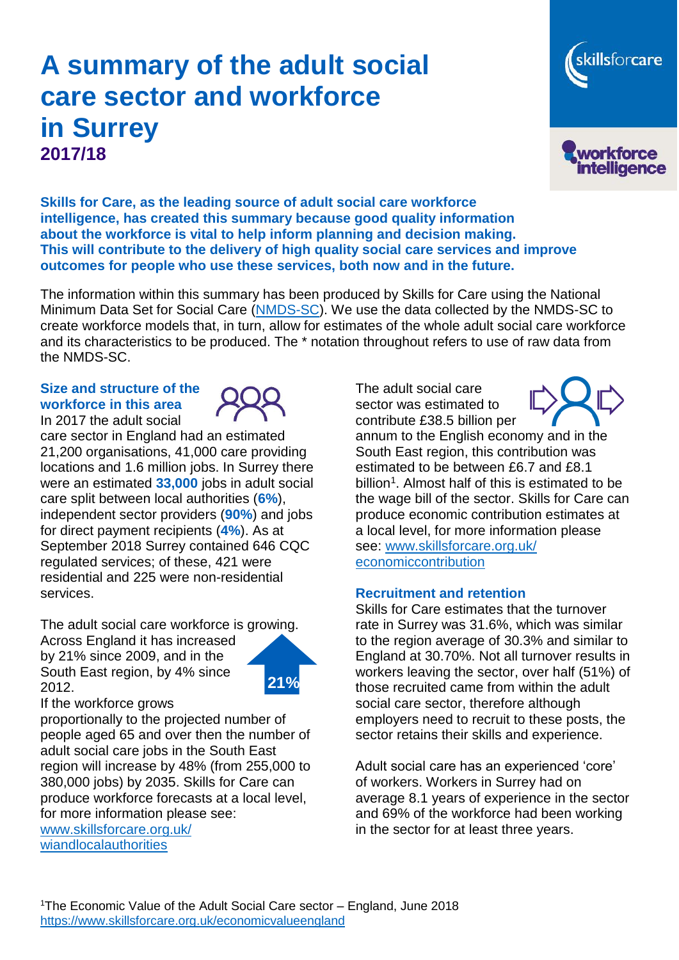# **A summary of the adult social care sector and workforce in Surrey 2017/18**





**Skills for Care, as the leading source of adult social care workforce intelligence, has created this summary because good quality information about the workforce is vital to help inform planning and decision making. This will contribute to the delivery of high quality social care services and improve outcomes for people who use these services, both now and in the future.**

The information within this summary has been produced by Skills for Care using the National Minimum Data Set for Social Care [\(NMDS-SC\)](https://www.nmds-sc-online.org.uk/Default.aspx). We use the data collected by the NMDS-SC to create workforce models that, in turn, allow for estimates of the whole adult social care workforce and its characteristics to be produced. The \* notation throughout refers to use of raw data from the NMDS-SC.

#### **Size and structure of the workforce in this area** In 2017 the adult social

care sector in England had an estimated 21,200 organisations, 41,000 care providing locations and 1.6 million jobs. In Surrey there were an estimated **33,000** jobs in adult social care split between local authorities (**6%**), independent sector providers (**90%**) and jobs for direct payment recipients (**4%**). As at September 2018 Surrey contained 646 CQC regulated services; of these, 421 were residential and 225 were non-residential services.

The adult social care workforce is growing.

Across England it has increased by 21% since 2009, and in the South East region, by 4% since 2012.



If the workforce grows

proportionally to the projected number of people aged 65 and over then the number of adult social care jobs in the South East region will increase by 48% (from 255,000 to 380,000 jobs) by 2035. Skills for Care can produce workforce forecasts at a local level, for more information please see:

[www.skillsforcare.org.uk/](http://www.skillsforcare.org.uk/wiandlocalauthorities) [wiandlocalauthorities](http://www.skillsforcare.org.uk/wiandlocalauthorities)

The adult social care sector was estimated to contribute £38.5 billion per



annum to the English economy and in the South East region, this contribution was estimated to be between £6.7 and £8.1 billion<sup>1</sup>. Almost half of this is estimated to be the wage bill of the sector. Skills for Care can produce economic contribution estimates at a local level, for more information please see: [www.skillsforcare.org.uk/](http://www.skillsforcare.org.uk/economiccontribution) [economiccontribution](http://www.skillsforcare.org.uk/economiccontribution) 

## **Recruitment and retention**

Skills for Care estimates that the turnover rate in Surrey was 31.6%, which was similar to the region average of 30.3% and similar to England at 30.70%. Not all turnover results in workers leaving the sector, over half (51%) of those recruited came from within the adult social care sector, therefore although employers need to recruit to these posts, the sector retains their skills and experience.

Adult social care has an experienced 'core' of workers. Workers in Surrey had on average 8.1 years of experience in the sector and 69% of the workforce had been working in the sector for at least three years.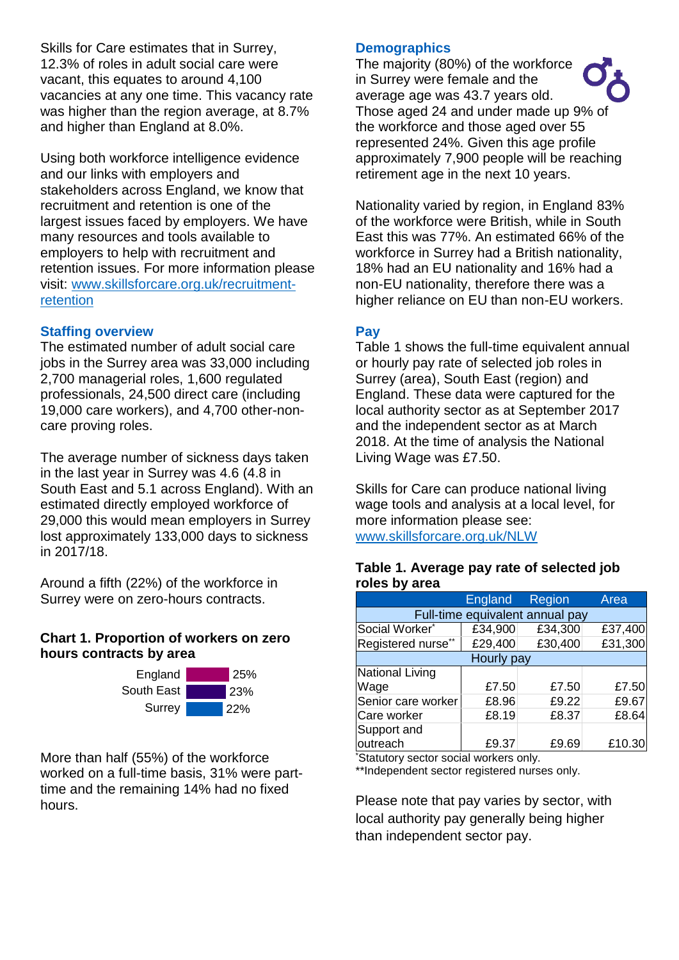Skills for Care estimates that in Surrey, 12.3% of roles in adult social care were vacant, this equates to around 4,100 vacancies at any one time. This vacancy rate was higher than the region average, at 8.7% and higher than England at 8.0%.

Using both workforce intelligence evidence and our links with employers and stakeholders across England, we know that recruitment and retention is one of the largest issues faced by employers. We have many resources and tools available to employers to help with recruitment and retention issues. For more information please visit: [www.skillsforcare.org.uk/recruitment](http://www.skillsforcare.org.uk/recruitment-retention)[retention](http://www.skillsforcare.org.uk/recruitment-retention)

## **Staffing overview**

The estimated number of adult social care jobs in the Surrey area was 33,000 including 2,700 managerial roles, 1,600 regulated professionals, 24,500 direct care (including 19,000 care workers), and 4,700 other-noncare proving roles.

The average number of sickness days taken in the last year in Surrey was 4.6 (4.8 in South East and 5.1 across England). With an estimated directly employed workforce of 29,000 this would mean employers in Surrey lost approximately 133,000 days to sickness in 2017/18.

Around a fifth (22%) of the workforce in Surrey were on zero-hours contracts.

## **Chart 1. Proportion of workers on zero hours contracts by area**



More than half (55%) of the workforce worked on a full-time basis, 31% were parttime and the remaining 14% had no fixed hours.

### **Demographics**

The majority (80%) of the workforce in Surrey were female and the average age was 43.7 years old. Those aged 24 and under made up 9% of the workforce and those aged over 55 represented 24%. Given this age profile approximately 7,900 people will be reaching retirement age in the next 10 years.

Nationality varied by region, in England 83% of the workforce were British, while in South East this was 77%. An estimated 66% of the workforce in Surrey had a British nationality, 18% had an EU nationality and 16% had a non-EU nationality, therefore there was a higher reliance on EU than non-EU workers.

## **Pay**

Table 1 shows the full-time equivalent annual or hourly pay rate of selected job roles in Surrey (area), South East (region) and England. These data were captured for the local authority sector as at September 2017 and the independent sector as at March 2018. At the time of analysis the National Living Wage was £7.50.

Skills for Care can produce national living wage tools and analysis at a local level, for more information please see: [www.skillsforcare.org.uk/NLW](http://www.skillsforcare.org.uk/NLW)

#### **Table 1. Average pay rate of selected job roles by area**

|                                 | <b>England</b> | Region  | Area    |
|---------------------------------|----------------|---------|---------|
| Full-time equivalent annual pay |                |         |         |
| Social Worker*                  | £34,900        | £34,300 | £37,400 |
| Registered nurse <sup>*</sup>   | £29,400        | £30,400 | £31,300 |
| <b>Hourly pay</b>               |                |         |         |
| National Living                 |                |         |         |
| Wage                            | £7.50          | £7.50   | £7.50   |
| Senior care worker              | £8.96          | £9.22   | £9.67   |
| Care worker                     | £8.19          | £8.37   | £8.64   |
| Support and                     |                |         |         |
| outreach                        | £9.37          | £9.69   | £10.30  |

\*Statutory sector social workers only.

\*\*Independent sector registered nurses only.

Please note that pay varies by sector, with local authority pay generally being higher than independent sector pay.